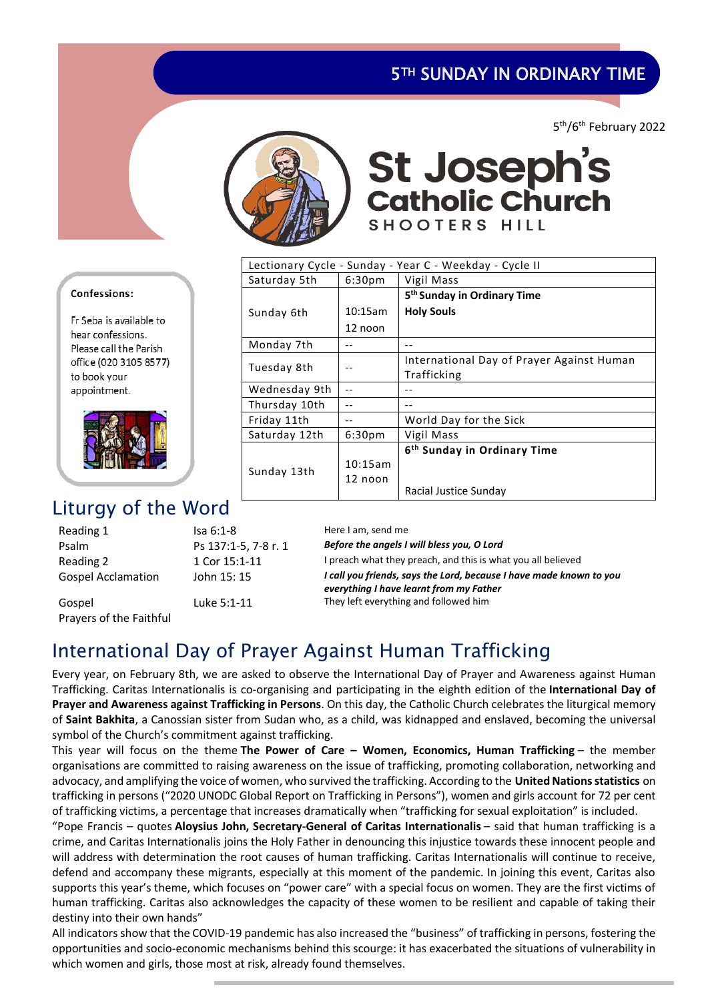## **5TH SUNDAY IN ORDINARY TIME**

5 th/6th February 2022



# St Joseph's<br>catholic Church SHOOTERS HILL

| Lectionary Cycle - Sunday - Year C - Weekday - Cycle II |                    |                                                          |  |  |
|---------------------------------------------------------|--------------------|----------------------------------------------------------|--|--|
| Saturday 5th                                            | 6:30 <sub>pm</sub> | Vigil Mass                                               |  |  |
|                                                         |                    | 5 <sup>th</sup> Sunday in Ordinary Time                  |  |  |
| Sunday 6th                                              | 10:15am            | <b>Holy Souls</b>                                        |  |  |
|                                                         | 12 noon            |                                                          |  |  |
| Monday 7th                                              |                    |                                                          |  |  |
| Tuesday 8th                                             |                    | International Day of Prayer Against Human<br>Trafficking |  |  |
| Wednesday 9th                                           |                    |                                                          |  |  |
| Thursday 10th                                           |                    |                                                          |  |  |
| Friday 11th                                             |                    | World Day for the Sick                                   |  |  |
| Saturday 12th                                           | 6:30 <sub>pm</sub> | Vigil Mass                                               |  |  |
| Sunday 13th                                             |                    | 6 <sup>th</sup> Sunday in Ordinary Time                  |  |  |
|                                                         | 10:15am            |                                                          |  |  |
|                                                         | 12 noon            |                                                          |  |  |
|                                                         |                    | Racial Justice Sunday                                    |  |  |

#### Confessions:

Fr Seba is available to hear confessions. Please call the Parish office (020 3105 8577) to book your appointment.



# Liturgy of the Word

| Reading 1                 | $Isa 6:1-8$          | Here I am, send me                                                                                             |
|---------------------------|----------------------|----------------------------------------------------------------------------------------------------------------|
| Psalm                     | Ps 137:1-5, 7-8 r. 1 | Before the angels I will bless you, O Lord                                                                     |
| Reading 2                 | 1 Cor 15:1-11        | I preach what they preach, and this is what you all believed                                                   |
| <b>Gospel Acclamation</b> | John 15: 15          | I call you friends, says the Lord, because I have made known to you<br>everything I have learnt from my Father |
| Gospel                    | Luke 5:1-11          | They left everything and followed him                                                                          |
| Prayers of the Faithful   |                      |                                                                                                                |

# International Day of Prayer Against Human Trafficking

Every year, on February 8th, we are asked to observe the International Day of Prayer and Awareness against Human Trafficking. Caritas Internationalis is co-organising and participating in the eighth edition of the **International Day of Prayer and Awareness against Trafficking in Persons**. On this day, the Catholic Church celebrates the liturgical memory of **Saint Bakhita**, a Canossian sister from Sudan who, as a child, was kidnapped and enslaved, becoming the universal symbol of the Church's commitment against trafficking.

This year will focus on the theme **The Power of Care – Women, Economics, Human Trafficking** – the member organisations are committed to raising awareness on the issue of trafficking, promoting collaboration, networking and advocacy, and amplifying the voice of women, who survived the trafficking. According to the **United Nations statistics** on trafficking in persons ("2020 UNODC Global Report on Trafficking in Persons"), women and girls account for 72 per cent of trafficking victims, a percentage that increases dramatically when "trafficking for sexual exploitation" is included.

"Pope Francis – quotes **Aloysius John, Secretary-General of Caritas Internationalis** – said that human trafficking is a crime, and Caritas Internationalis joins the Holy Father in denouncing this injustice towards these innocent people and will address with determination the root causes of human trafficking. Caritas Internationalis will continue to receive, defend and accompany these migrants, especially at this moment of the pandemic. In joining this event, Caritas also supports this year's theme, which focuses on "power care" with a special focus on women. They are the first victims of human trafficking. Caritas also acknowledges the capacity of these women to be resilient and capable of taking their destiny into their own hands"

All indicators show that the COVID-19 pandemic has also increased the "business" of trafficking in persons, fostering the opportunities and socio-economic mechanisms behind this scourge: it has exacerbated the situations of vulnerability in which women and girls, those most at risk, already found themselves.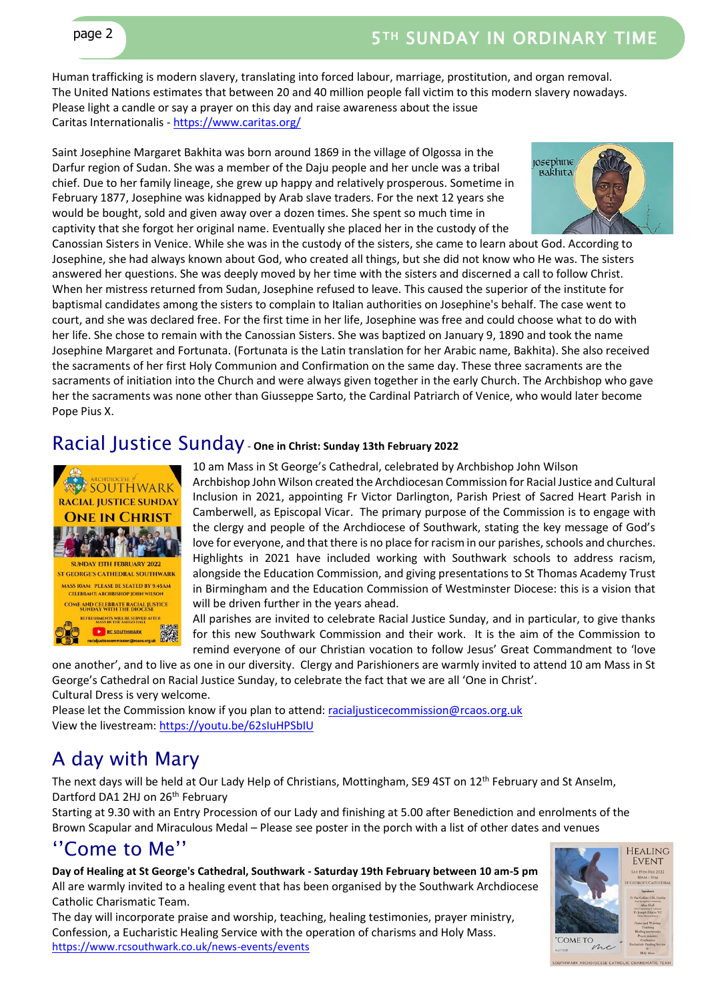Human trafficking is modern slavery, translating into forced labour, marriage, prostitution, and organ removal. The United Nations estimates that between 20 and 40 million people fall victim to this modern slavery nowadays. Please light a candle or say a prayer on this day and raise awareness about the issue Caritas Internationalis - <https://www.caritas.org/>

Saint Josephine Margaret Bakhita was born around 1869 in the village of Olgossa in the Darfur region of Sudan. She was a member of the Daju people and her uncle was a tribal chief. Due to her family lineage, she grew up happy and relatively prosperous. Sometime in February 1877, Josephine was kidnapped by Arab slave traders. For the next 12 years she would be bought, sold and given away over a dozen times. She spent so much time in captivity that she forgot her original name. Eventually she placed her in the custody of the



Canossian Sisters in Venice. While she was in the custody of the sisters, she came to learn about God. According to Josephine, she had always known about God, who created all things, but she did not know who He was. The sisters answered her questions. She was deeply moved by her time with the sisters and discerned a call to follow Christ. When her mistress returned from Sudan, Josephine refused to leave. This caused the superior of the institute for baptismal candidates among the sisters to complain to Italian authorities on Josephine's behalf. The case went to court, and she was declared free. For the first time in her life, Josephine was free and could choose what to do with her life. She chose to remain with the Canossian Sisters. She was baptized on January 9, 1890 and took the name Josephine Margaret and Fortunata. (Fortunata is the Latin translation for her Arabic name, Bakhita). She also received the sacraments of her first Holy Communion and Confirmation on the same day. These three sacraments are the sacraments of initiation into the Church and were always given together in the early Church. The Archbishop who gave her the sacraments was none other than Giusseppe Sarto, the Cardinal Patriarch of Venice, who would later become Pope Pius X.

### Racial Justice Sunday - **One in Christ: Sunday 13th February 2022**



10 am Mass in St George's Cathedral, celebrated by Archbishop John Wilson Archbishop John Wilson created the Archdiocesan Commission for Racial Justice and Cultural Inclusion in 2021, appointing Fr Victor Darlington, Parish Priest of Sacred Heart Parish in Camberwell, as Episcopal Vicar. The primary purpose of the Commission is to engage with the clergy and people of the Archdiocese of Southwark, stating the key message of God's love for everyone, and that there is no place for racism in our parishes, schools and churches. Highlights in 2021 have included working with Southwark schools to address racism, alongside the Education Commission, and giving presentations to St Thomas Academy Trust in Birmingham and the Education Commission of Westminster Diocese: this is a vision that will be driven further in the years ahead.

All parishes are invited to celebrate Racial Justice Sunday, and in particular, to give thanks for this new Southwark Commission and their work. It is the aim of the Commission to remind everyone of our Christian vocation to follow Jesus' Great Commandment to 'love

one another', and to live as one in our diversity. Clergy and Parishioners are warmly invited to attend 10 am Mass in St George's Cathedral on Racial Justice Sunday, to celebrate the fact that we are all 'One in Christ'. Cultural Dress is very welcome.

Please let the Commission know if you plan to attend: [racialjusticecommission@rcaos.org.uk](mailto:racialjusticecommission@rcaos.org.uk) View the livestream:<https://youtu.be/62sIuHPSbIU>

# A day with Mary

The next days will be held at Our Lady Help of Christians, Mottingham, SE9 4ST on 12<sup>th</sup> February and St Anselm, Dartford DA1 2HJ on 26<sup>th</sup> February

Starting at 9.30 with an Entry Procession of our Lady and finishing at 5.00 after Benediction and enrolments of the Brown Scapular and Miraculous Medal – Please see poster in the porch with a list of other dates and venues

### ''Come to Me''

**Day of Healing at St George's Cathedral, Southwark - Saturday 19th February between 10 am-5 pm** All are warmly invited to a healing event that has been organised by the Southwark Archdiocese Catholic Charismatic Team.

The day will incorporate praise and worship, teaching, healing testimonies, prayer ministry, Confession, a Eucharistic Healing Service with the operation of charisms and Holy Mass. <https://www.rcsouthwark.co.uk/news-events/events>



UTHWARK ARCHDIOCESE CATHOLIC CHARISMATIC TEAM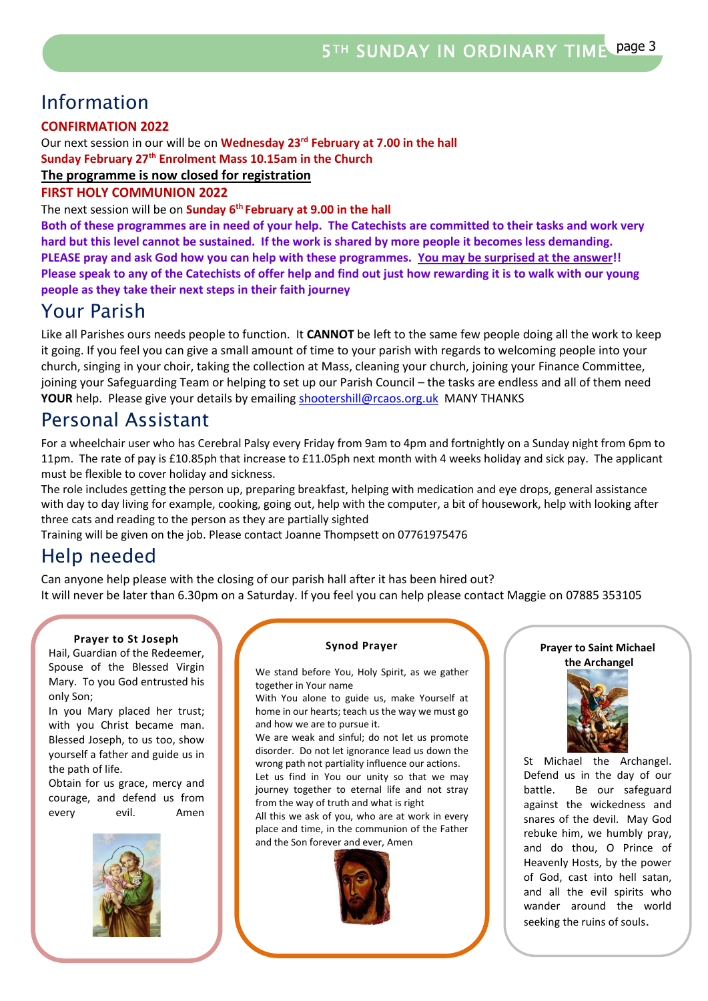# Information

#### **CONFIRMATION 2022**

Our next session in our will be on **Wednesday 23rd February at 7.00 in the hall Sunday February 27th Enrolment Mass 10.15am in the Church**

### **The programme is now closed for registration**

#### **FIRST HOLY COMMUNION 2022**

The next session will be on **Sunday 6th February at 9.00 in the hall**

**Both of these programmes are in need of your help. The Catechists are committed to their tasks and work very hard but this level cannot be sustained. If the work is shared by more people it becomes less demanding. PLEASE pray and ask God how you can help with these programmes. You may be surprised at the answer!! Please speak to any of the Catechists of offer help and find out just how rewarding it is to walk with our young people as they take their next steps in their faith journey**

### Your Parish

Like all Parishes ours needs people to function. It **CANNOT** be left to the same few people doing all the work to keep it going. If you feel you can give a small amount of time to your parish with regards to welcoming people into your church, singing in your choir, taking the collection at Mass, cleaning your church, joining your Finance Committee, joining your Safeguarding Team or helping to set up our Parish Council – the tasks are endless and all of them need **YOUR** help. Please give your details by emailin[g shootershill@rcaos.org.uk](mailto:shootershill@rcaos.org.uk) MANY THANKS

### Personal Assistant

For a wheelchair user who has Cerebral Palsy every Friday from 9am to 4pm and fortnightly on a Sunday night from 6pm to 11pm. The rate of pay is £10.85ph that increase to £11.05ph next month with 4 weeks holiday and sick pay. The applicant must be flexible to cover holiday and sickness.

The role includes getting the person up, preparing breakfast, helping with medication and eye drops, general assistance with day to day living for example, cooking, going out, help with the computer, a bit of housework, help with looking after three cats and reading to the person as they are partially sighted

Training will be given on the job. Please contact Joanne Thompsett on 07761975476

### Help needed

Can anyone help please with the closing of our parish hall after it has been hired out? It will never be later than 6.30pm on a Saturday. If you feel you can help please contact Maggie on 07885 353105

#### **Prayer to St Joseph**

Hail, Guardian of the Redeemer, Spouse of the Blessed Virgin Mary. To you God entrusted his only Son;

In you Mary placed her trust; with you Christ became man. Blessed Joseph, to us too, show yourself a father and guide us in the path of life.

Obtain for us grace, mercy and courage, and defend us from every evil. Amen



#### **Synod Prayer**

We stand before You, Holy Spirit, as we gather together in Your name

With You alone to guide us, make Yourself at home in our hearts; teach us the way we must go and how we are to pursue it.

We are weak and sinful; do not let us promote disorder. Do not let ignorance lead us down the wrong path not partiality influence our actions.

Let us find in You our unity so that we may journey together to eternal life and not stray from the way of truth and what is right

All this we ask of you, who are at work in every place and time, in the communion of the Father and the Son forever and ever, Amen



#### **Prayer to Saint Michael the Archangel**



St Michael the Archangel. Defend us in the day of our battle. Be our safeguard against the wickedness and snares of the devil. May God rebuke him, we humbly pray, and do thou, O Prince of Heavenly Hosts, by the power of God, cast into hell satan, and all the evil spirits who wander around the world seeking the ruins of souls.